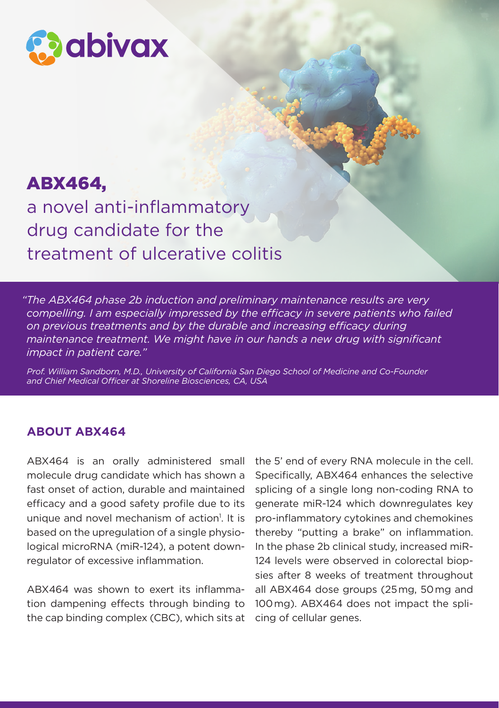

# ABX464,

a novel anti-inflammatory drug candidate for the treatment of ulcerative colitis

*"The ABX464 phase 2b induction and preliminary maintenance results are very compelling. I am especially impressed by the efficacy in severe patients who failed on previous treatments and by the durable and increasing efficacy during maintenance treatment. We might have in our hands a new drug with significant impact in patient care."*

*Prof. William Sandborn, M.D., University of California San Diego School of Medicine and Co-Founder and Chief Medical Officer at Shoreline Biosciences, CA, USA*

## **ABOUT ABX464**

ABX464 is an orally administered small molecule drug candidate which has shown a fast onset of action, durable and maintained efficacy and a good safety profile due to its unique and novel mechanism of action<sup>1</sup>. It is based on the upregulation of a single physiological microRNA (miR-124), a potent downregulator of excessive inflammation.

ABX464 was shown to exert its inflammation dampening effects through binding to the cap binding complex (CBC), which sits at the 5' end of every RNA molecule in the cell. Specifically, ABX464 enhances the selective splicing of a single long non-coding RNA to generate miR-124 which downregulates key pro-inflammatory cytokines and chemokines thereby "putting a brake" on inflammation. In the phase 2b clinical study, increased miR-124 levels were observed in colorectal biopsies after 8 weeks of treatment throughout all ABX464 dose groups (25 mg, 50 mg and 100 mg). ABX464 does not impact the splicing of cellular genes.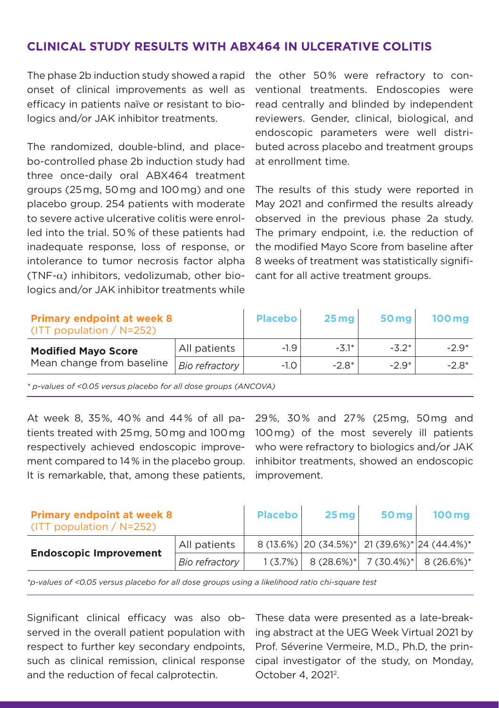## **CLINICAL STUDY RESULTS WITH ABX464 IN ULCERATIVE COLITIS**

The phase 2b induction study showed a rapid the other 50 % were refractory to cononset of clinical improvements as well as efficacy in patients naïve or resistant to biologics and/or JAK inhibitor treatments.

The randomized, double-blind, and placebo-controlled phase 2b induction study had three once-daily oral ABX464 treatment groups (25 mg, 50 mg and 100 mg) and one placebo group. 254 patients with moderate to severe active ulcerative colitis were enrolled into the trial. 50 % of these patients had inadequate response, loss of response, or intolerance to tumor necrosis factor alpha (TNF- $\alpha$ ) inhibitors, vedolizumab, other biologics and/or JAK inhibitor treatments while ventional treatments. Endoscopies were read centrally and blinded by independent reviewers. Gender, clinical, biological, and endoscopic parameters were well distributed across placebo and treatment groups at enrollment time.

The results of this study were reported in May 2021 and confirmed the results already observed in the previous phase 2a study. The primary endpoint, i.e. the reduction of the modified Mayo Score from baseline after 8 weeks of treatment was statistically significant for all active treatment groups.

| <b>Primary endpoint at week 8</b><br>(ITT population / $N=252$ ) |                | <b>Placebo</b> | 25mg    | <b>50 mg</b> | <b>100 mg</b> |
|------------------------------------------------------------------|----------------|----------------|---------|--------------|---------------|
| <b>Modified Mayo Score</b><br>Mean change from baseline          | All patients   | $-1.9$         | $-3.1*$ | $-3.2*$      | $-2.9*$       |
|                                                                  | Bio refractory | $-1.0$         | $-2.8*$ | $-2.9*$      | $-2.8*$       |

*\* p-values of <0.05 versus placebo for all dose groups (ANCOVA)*

At week 8, 35 %, 40 % and 44 % of all patients treated with 25 mg, 50 mg and 100 mg respectively achieved endoscopic improvement compared to 14 % in the placebo group. It is remarkable, that, among these patients,

29 %, 30 % and 27 % (25 mg, 50 mg and 100 mg) of the most severely ill patients who were refractory to biologics and/or JAK inhibitor treatments, showed an endoscopic improvement.

| <b>Primary endpoint at week 8</b><br>(ITT population / $N=252$ ) |                | <b>Placebo</b> | $25$ mg                                                                             | $50$ mg | <b>100 mg</b> |
|------------------------------------------------------------------|----------------|----------------|-------------------------------------------------------------------------------------|---------|---------------|
| <b>Endoscopic Improvement</b>                                    | All patients   |                | $8(13.6\%)$ 20 (34.5%) <sup>*</sup> 21 (39.6%) <sup>*</sup> 24 (44.4%) <sup>*</sup> |         |               |
|                                                                  | Bio refractory |                | $1(3.7\%)$ 8 (28.6%) <sup>*</sup> 7 (30.4%) <sup>*</sup> 8 (26.6%) <sup>*</sup>     |         |               |

*\*p-values of <0.05 versus placebo for all dose groups using a likelihood ratio chi-square test*

Significant clinical efficacy was also observed in the overall patient population with respect to further key secondary endpoints, such as clinical remission, clinical response and the reduction of fecal calprotectin.

These data were presented as a late-breaking abstract at the UEG Week Virtual 2021 by Prof. Séverine Vermeire, M.D., Ph.D, the principal investigator of the study, on Monday, October 4, 20212.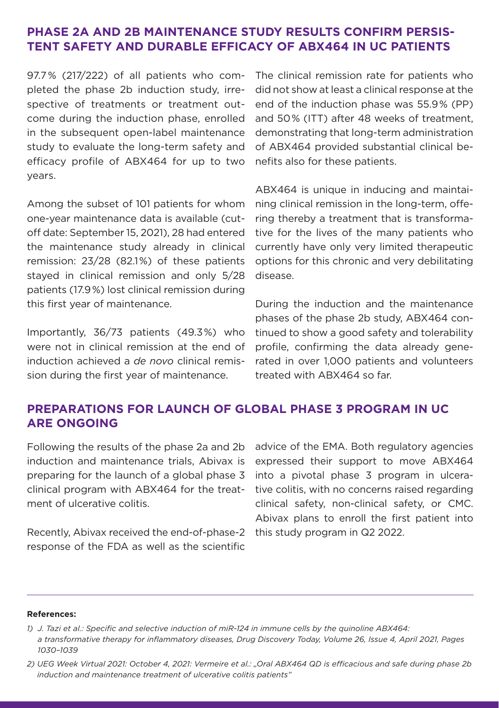## **PHASE 2A AND 2B MAINTENANCE STUDY RESULTS CONFIRM PERSIS-TENT SAFETY AND DURABLE EFFICACY OF ABX464 IN UC PATIENTS**

pleted the phase 2b induction study, irrespective of treatments or treatment outcome during the induction phase, enrolled in the subsequent open-label maintenance study to evaluate the long-term safety and efficacy profile of ABX464 for up to two years.

Among the subset of 101 patients for whom one-year maintenance data is available (cutoff date: September 15, 2021), 28 had entered the maintenance study already in clinical remission: 23/28 (82.1 %) of these patients stayed in clinical remission and only 5/28 patients (17.9 %) lost clinical remission during this first year of maintenance.

Importantly, 36/73 patients (49.3 %) who were not in clinical remission at the end of induction achieved a *de novo* clinical remission during the first year of maintenance.

97.7 % (217/222) of all patients who com-The clinical remission rate for patients who did not show at least a clinical response at the end of the induction phase was 55.9 % (PP) and 50 % (ITT) after 48 weeks of treatment, demonstrating that long-term administration of ABX464 provided substantial clinical benefits also for these patients.

> ABX464 is unique in inducing and maintaining clinical remission in the long-term, offering thereby a treatment that is transformative for the lives of the many patients who currently have only very limited therapeutic options for this chronic and very debilitating disease.

> During the induction and the maintenance phases of the phase 2b study, ABX464 continued to show a good safety and tolerability profile, confirming the data already generated in over 1,000 patients and volunteers treated with ABX464 so far.

## **PREPARATIONS FOR LAUNCH OF GLOBAL PHASE 3 PROGRAM IN UC ARE ONGOING**

Following the results of the phase 2a and 2b induction and maintenance trials, Abivax is preparing for the launch of a global phase 3 clinical program with ABX464 for the treatment of ulcerative colitis.

Recently, Abivax received the end-of-phase-2 this study program in Q2 2022. response of the FDA as well as the scientific

advice of the EMA. Both regulatory agencies expressed their support to move ABX464 into a pivotal phase 3 program in ulcerative colitis, with no concerns raised regarding clinical safety, non-clinical safety, or CMC. Abivax plans to enroll the first patient into

#### **References:**

*<sup>1)</sup> J. Tazi et al.: Specific and selective induction of miR-124 in immune cells by the quinoline ABX464: a transformative therapy for inflammatory diseases, Drug Discovery Today, Volume 26, Issue 4, April 2021, Pages 1030–1039*

*<sup>2)</sup> UEG Week Virtual 2021: October 4, 2021: Vermeire et al.: "Oral ABX464 QD is efficacious and safe during phase 2b induction and maintenance treatment of ulcerative colitis patients"*